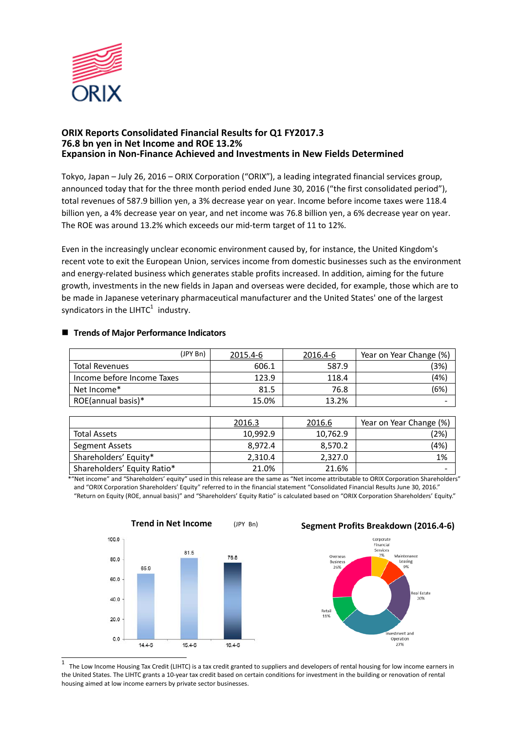

### **ORIX Reports Consolidated Financial Results for Q1 FY2017.3 76.8 bn yen in Net Income and ROE 13.2% Expansion in Non-Finance Achieved and Investments in New Fields Determined**

Tokyo, Japan – July 26, 2016 – ORIX Corporation ("ORIX"), a leading integrated financial services group, announced today that for the three month period ended June 30, 2016 ("the first consolidated period"), total revenues of 587.9 billion yen, a 3% decrease year on year. Income before income taxes were 118.4 billion yen, a 4% decrease year on year, and net income was 76.8 billion yen, a 6% decrease year on year. The ROE was around 13.2% which exceeds our mid-term target of 11 to 12%.

Even in the increasingly unclear economic environment caused by, for instance, the United Kingdom's recent vote to exit the European Union, services income from domestic businesses such as the environment and energy-related business which generates stable profits increased. In addition, aiming for the future growth, investments in the new fields in Japan and overseas were decided, for example, those which are to be made in Japanese veterinary pharmaceutical manufacturer and the United States' one of the largest syndicators in the LIHTC $1$  industry.

| (JPY Bn)                   | 2015.4-6 | 2016.4-6 | Year on Year Change (%) |
|----------------------------|----------|----------|-------------------------|
| <b>Total Revenues</b>      | 606.1    | 587.9    | (3%)                    |
| Income before Income Taxes | 123.9    | 118.4    | (4%)                    |
| Net Income*                | 81.5     | 76.8     | (6%)                    |
| ROE(annual basis)*         | 15.0%    | 13.2%    |                         |

#### **Trends of Major Performance Indicators**

|                             | 2016.3   | 2016.6   | Year on Year Change (%) |
|-----------------------------|----------|----------|-------------------------|
| <b>Total Assets</b>         | 10,992.9 | 10,762.9 | (2%)                    |
| <b>Segment Assets</b>       | 8.972.4  | 8.570.2  | (4%)                    |
| Shareholders' Equity*       | 2,310.4  | 2,327.0  | 1%                      |
| Shareholders' Equity Ratio* | 21.0%    | 21.6%    |                         |

\*"Net income" and "Shareholders' equity" used in this release are the same as "Net income attributable to ORIX Corporation Shareholders" and "ORIX Corporation Shareholders' Equity" referred to in the financial statement "Consolidated Financial Results June 30, 2016." "Return on Equity (ROE, annual basis)" and "Shareholders' Equity Ratio" is calculated based on "ORIX Corporation Shareholders' Equity."



 $\overline{a}$  $^1$  The Low Income Housing Tax Credit (LIHTC) is a tax credit granted to suppliers and developers of rental housing for low income earners in the United States. The LIHTC grants a 10-year tax credit based on certain conditions for investment in the building or renovation of rental housing aimed at low income earners by private sector businesses.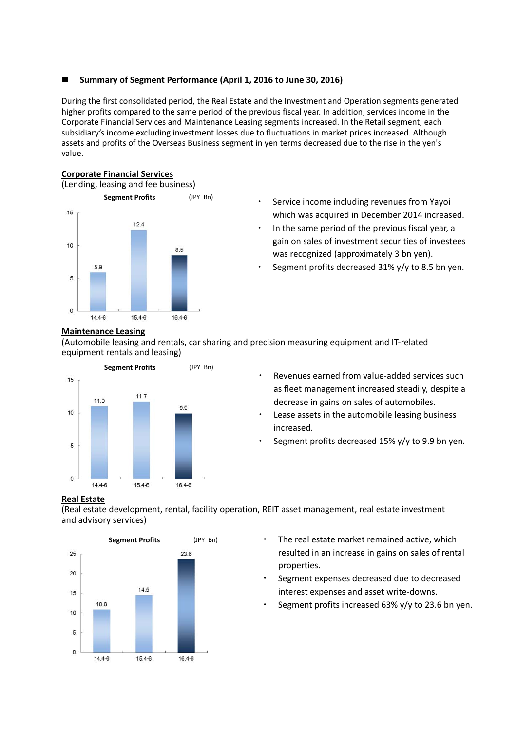## **Summary of Segment Performance (April 1, 2016 to June 30, 2016)**

During the first consolidated period, the Real Estate and the Investment and Operation segments generated higher profits compared to the same period of the previous fiscal year. In addition, services income in the Corporate Financial Services and Maintenance Leasing segments increased. In the Retail segment, each subsidiary's income excluding investment losses due to fluctuations in market prices increased. Although assets and profits of the Overseas Business segment in yen terms decreased due to the rise in the yen's value.

# **Corporate Financial Services**

(Lending, leasing and fee business)



- ・ Service income including revenues from Yayoi which was acquired in December 2014 increased.
- ・ In the same period of the previous fiscal year, a gain on sales of investment securities of investees was recognized (approximately 3 bn yen).
- Segment profits decreased 31%  $y/y$  to 8.5 bn yen.

### **Maintenance Leasing**

(Automobile leasing and rentals, car sharing and precision measuring equipment and IT-related equipment rentals and leasing)



- Revenues earned from value-added services such as fleet management increased steadily, despite a decrease in gains on sales of automobiles.
- Lease assets in the automobile leasing business increased.
- Segment profits decreased 15%  $y/y$  to 9.9 bn yen.

## **Real Estate**

(Real estate development, rental, facility operation, REIT asset management, real estate investment and advisory services)



- ・ The real estate market remained active, which resulted in an increase in gains on sales of rental properties.
- Segment expenses decreased due to decreased interest expenses and asset write-downs.
- Segment profits increased 63%  $y/y$  to 23.6 bn yen.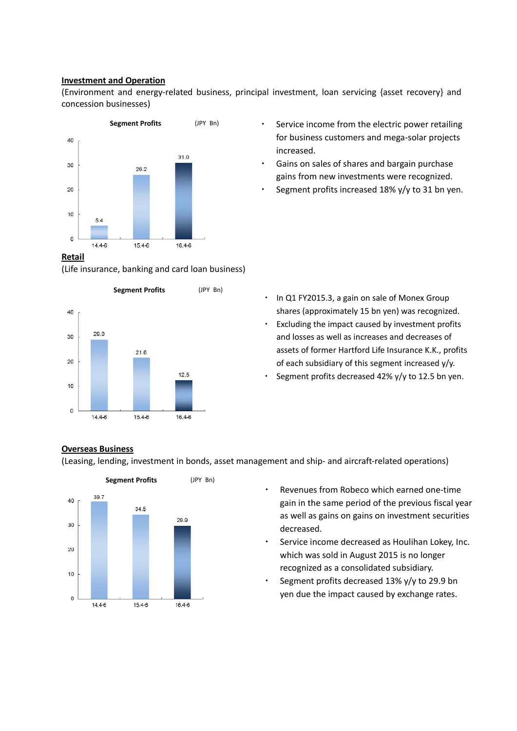#### **Investment and Operation**

(Environment and energy-related business, principal investment, loan servicing {asset recovery} and concession businesses)



#### **Retail**

(Life insurance, banking and card loan business)



- Service income from the electric power retailing for business customers and mega-solar projects increased.
- Gains on sales of shares and bargain purchase gains from new investments were recognized.
- Segment profits increased  $18\%$  y/y to 31 bn yen.

- ・ In Q1 FY2015.3, a gain on sale of Monex Group shares (approximately 15 bn yen) was recognized.
- ・ Excluding the impact caused by investment profits and losses as well as increases and decreases of assets of former Hartford Life Insurance K.K., profits of each subsidiary of this segment increased y/y.
- Segment profits decreased 42% y/y to 12.5 bn yen.

### **Overseas Business**

(Leasing, lending, investment in bonds, asset management and ship- and aircraft-related operations)



- Revenues from Robeco which earned one-time gain in the same period of the previous fiscal year as well as gains on gains on investment securities decreased.
- Service income decreased as Houlihan Lokey, Inc. which was sold in August 2015 is no longer recognized as a consolidated subsidiary.
- ・ Segment profits decreased 13% y/y to 29.9 bn yen due the impact caused by exchange rates.